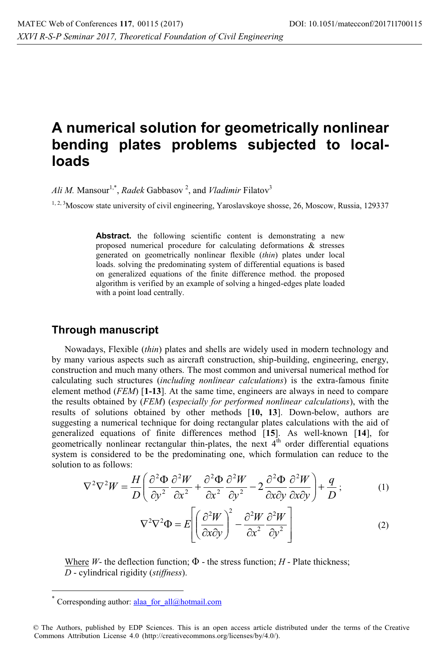## **A numerical solution for geometrically nonlinear bending plates problems subjected to localloads**

*Ali M.* Mansour<sup>1,\*</sup>, *Radek* Gabbasov<sup>2</sup>, and *Vladimir* Filatov<sup>3</sup>

<sup>1, 2, 3</sup>Moscow state university of civil engineering, Yaroslavskoye shosse, 26, Moscow, Russia, 129337

Abstract. the following scientific content is demonstrating a new proposed numerical procedure for calculating deformations & stresses generated on geometrically nonlinear flexible (*thin*) plates under local loads. solving the predominating system of differential equations is based on generalized equations of the finite difference method. the proposed algorithm is verified by an example of solving a hinged-edges plate loaded with a point load centrally.

## **Through manuscript**

Nowadays, Flexible (*thin*) plates and shells are widely used in modern technology and by many various aspects such as aircraft construction, ship-building, engineering, energy, construction and much many others. The most common and universal numerical method for calculating such structures (*including nonlinear calculations*) is the extra-famous finite element method (*FEM*) [**1-13**]. At the same time, engineers are always in need to compare the results obtained by (*FEM*) (*especially for performed nonlinear calculations*), with the results of solutions obtained by other methods [**10, 13**]. Down-below, authors are suggesting a numerical technique for doing rectangular plates calculations with the aid of generalized equations of finite differences method [15]. As well-known [14], for generalized equations of finite differences method  $[15]$ . As well-known  $[14]$ , for geometrically nonlinear rectangular thin-plates, the next  $4<sup>th</sup>$  order differential equations system is considered to be the predominating one, which formulation can reduce to the solution to as follows:

$$
\nabla^2 \nabla^2 W = \frac{H}{D} \left( \frac{\partial^2 \Phi}{\partial y^2} \frac{\partial^2 W}{\partial x^2} + \frac{\partial^2 \Phi}{\partial x^2} \frac{\partial^2 W}{\partial y^2} - 2 \frac{\partial^2 \Phi}{\partial x \partial y} \frac{\partial^2 W}{\partial x \partial y} \right) + \frac{q}{D};
$$
 (1)

$$
\nabla^2 \nabla^2 \Phi = E \left[ \left( \frac{\partial^2 W}{\partial x \partial y} \right)^2 - \frac{\partial^2 W}{\partial x^2} \frac{\partial^2 W}{\partial y^2} \right]
$$
 (2)

Where *W*- the deflection function;  $\Phi$  - the stress function; *H* - Plate thickness; *D* - cylindrical rigidity (*stiffness*).

 $\overline{a}$ 

Corresponding author: alaa\_for\_all@hotmail.com

<sup>©</sup> The Authors, published by EDP Sciences. This is an open access article distributed under the terms of the Creative Commons Attribution License 4.0 (http://creativecommons.org/licenses/by/4.0/).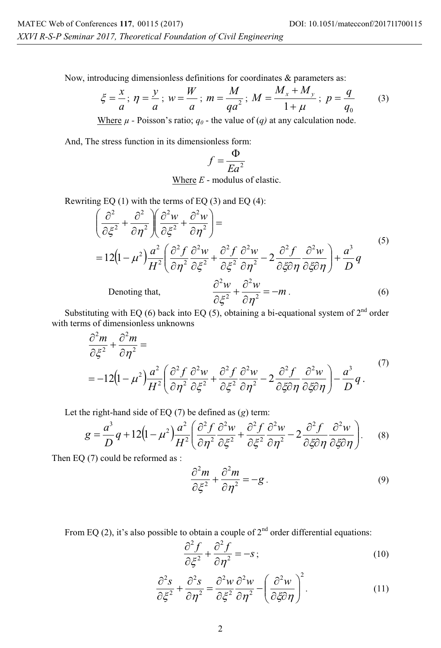Now, introducing dimensionless definitions for coordinates & parameters as:

$$
\xi = \frac{x}{a}; \eta = \frac{y}{a}; w = \frac{W}{a}; m = \frac{M}{qa^2}; M = \frac{M_x + M_y}{1 + \mu}; p = \frac{q}{q_0}
$$
 (3)

Where  $\mu$  - Poisson's ratio;  $q_0$  - the value of (*q*) at any calculation node.

And, The stress function in its dimensionless form:

$$
f = \frac{\Phi}{E a^2}
$$

Where *E* - modulus of elastic.

Rewriting EQ (1) with the terms of EQ (3) and EQ (4):

$$
\left(\frac{\partial^2}{\partial \xi^2} + \frac{\partial^2}{\partial \eta^2}\right) \left(\frac{\partial^2 w}{\partial \xi^2} + \frac{\partial^2 w}{\partial \eta^2}\right) =
$$
\n
$$
= 12\left(1 - \mu^2\right) \frac{a^2}{H^2} \left(\frac{\partial^2 f}{\partial \eta^2} \frac{\partial^2 w}{\partial \xi^2} + \frac{\partial^2 f}{\partial \xi^2} \frac{\partial^2 w}{\partial \eta^2} - 2 \frac{\partial^2 f}{\partial \xi \partial \eta} \frac{\partial^2 w}{\partial \xi \partial \eta}\right) + \frac{a^3}{D} q
$$
\n
$$
\text{Denoting that, } \frac{\partial^2 w}{\partial \xi^2} + \frac{\partial^2 w}{\partial \eta^2} = -m. \tag{6}
$$

Substituting with EQ (6) back into EQ (5), obtaining a bi-equational system of  $2<sup>nd</sup>$  order with terms of dimensionless unknowns

$$
\frac{\partial^2 m}{\partial \xi^2} + \frac{\partial^2 m}{\partial \eta^2} =
$$
\n
$$
= -12\left(1 - \mu^2\right)\frac{a^2}{H^2} \left(\frac{\partial^2 f}{\partial \eta^2} \frac{\partial^2 w}{\partial \xi^2} + \frac{\partial^2 f}{\partial \xi^2} \frac{\partial^2 w}{\partial \eta^2} - 2\frac{\partial^2 f}{\partial \xi \partial \eta} \frac{\partial^2 w}{\partial \xi \partial \eta}\right) - \frac{a^3}{D}q.
$$
\n(7)

Let the right-hand side of EQ (7) be defined as (*g*) term:

$$
g = \frac{a^3}{D}q + 12\left(1 - \mu^2\right)\frac{a^2}{H^2}\left(\frac{\partial^2 f}{\partial \eta^2}\frac{\partial^2 w}{\partial \xi^2} + \frac{\partial^2 f}{\partial \xi^2}\frac{\partial^2 w}{\partial \eta^2} - 2\frac{\partial^2 f}{\partial \xi \partial \eta}\frac{\partial^2 w}{\partial \xi \partial \eta}\right).
$$
 (8)

Then EQ (7) could be reformed as :

$$
\frac{\partial^2 m}{\partial \xi^2} + \frac{\partial^2 m}{\partial \eta^2} = -g \,. \tag{9}
$$

From EQ (2), it's also possible to obtain a couple of  $2<sup>nd</sup>$  order differential equations:

$$
\frac{\partial^2 f}{\partial \xi^2} + \frac{\partial^2 f}{\partial \eta^2} = -s \tag{10}
$$

$$
\frac{\partial^2 s}{\partial \xi^2} + \frac{\partial^2 s}{\partial \eta^2} = \frac{\partial^2 w}{\partial \xi^2} \frac{\partial^2 w}{\partial \eta^2} - \left(\frac{\partial^2 w}{\partial \xi \partial \eta}\right)^2.
$$
 (11)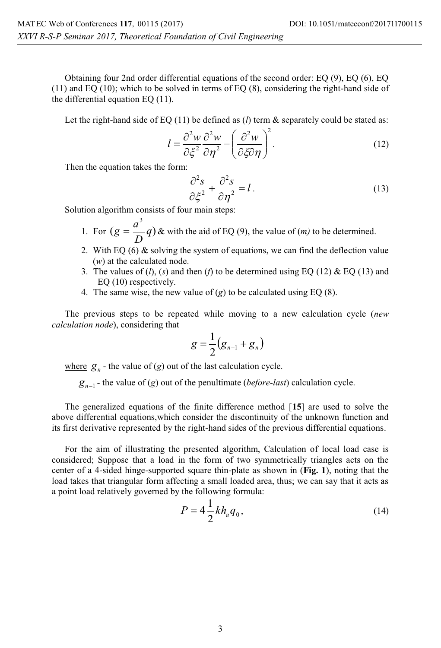Obtaining four 2nd order differential equations of the second order: EQ (9), EQ (6), EQ (11) and EQ (10); which to be solved in terms of EQ (8), considering the right-hand side of the differential equation EQ (11).

Let the right-hand side of EQ  $(11)$  be defined as  $(l)$  term  $\&$  separately could be stated as:

$$
l = \frac{\partial^2 w}{\partial \xi^2} \frac{\partial^2 w}{\partial \eta^2} - \left(\frac{\partial^2 w}{\partial \xi \partial \eta}\right)^2.
$$
 (12)

Then the equation takes the form:

$$
\frac{\partial^2 s}{\partial \xi^2} + \frac{\partial^2 s}{\partial \eta^2} = l \,. \tag{13}
$$

Solution algorithm consists of four main steps:

- 1. For  $(g = \frac{a}{b}q)$ 3  $g = \frac{a^3}{D}q$ ) & with the aid of EQ (9), the value of (*m*) to be determined.
- 2. With EQ  $(6)$  & solving the system of equations, we can find the deflection value (*w*) at the calculated node.
- 3. The values of  $(l)$ ,  $(s)$  and then  $(l)$  to be determined using EQ (12) & EQ (13) and EQ (10) respectively.
- 4. The same wise, the new value of  $(g)$  to be calculated using EQ  $(8)$ .

The previous steps to be repeated while moving to a new calculation cycle (*new calculation node*), considering that

$$
g=\frac{1}{2}\big(g_{n-1}+g_n\big)
$$

where  $g_n$  - the value of  $(g)$  out of the last calculation cycle.

 $g_{n-1}$  - the value of (*g*) out of the penultimate (*before-last*) calculation cycle.

The generalized equations of the finite difference method [**15**] are used to solve the above differential equations,which consider the discontinuity of the unknown function and its first derivative represented by the right-hand sides of the previous differential equations.

For the aim of illustrating the presented algorithm, Calculation of local load case is considered; Suppose that a load in the form of two symmetrically triangles acts on the center of a 4-sided hinge-supported square thin-plate as shown in (**Fig. 1**), noting that the load takes that triangular form affecting a small loaded area, thus; we can say that it acts as a point load relatively governed by the following formula:

$$
P = 4\frac{1}{2}kh_a q_0,
$$
\n(14)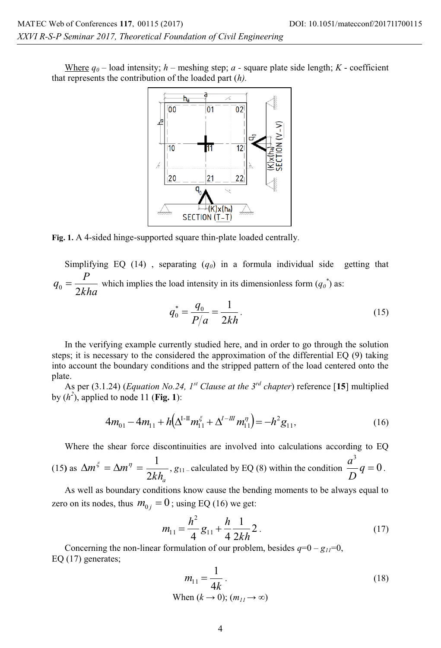Where  $q_0$  – load intensity;  $h$  – meshing step;  $a$  - square plate side length;  $K$  - coefficient that represents the contribution of the loaded part (*h).*



**Fig. 1.** A 4-sided hinge-supported square thin-plate loaded centrally.

Simplifying EQ  $(14)$ , separating  $(q_0)$  in a formula individual side getting that *kha*  $q_0 = \frac{P}{2kha}$  which implies the load intensity in its dimensionless form  $(q_0^*)$  as:

$$
q_0^* = \frac{q_0}{P/a} = \frac{1}{2kh}.
$$
 (15)

In the verifying example currently studied here, and in order to go through the solution steps; it is necessary to the considered the approximation of the differential EQ (9) taking into account the boundary conditions and the stripped pattern of the load centered onto the plate.

As per (3.1.24) (*Equation No.24, 1st Clause at the 3rd chapter*) reference [**15**] multiplied by  $(h^2)$ , applied to node 11 (**Fig. 1**):

$$
4m_{01} - 4m_{11} + h(\Delta^{I\text{-II}}m_{11}^{\xi} + \Delta^{I\text{-III}}m_{11}^{\eta}) = -h^2 g_{11},\tag{16}
$$

Where the shear force discontinuities are involved into calculations according to EQ

(15) as 
$$
\Delta m^{\xi} = \Delta m^{\eta} = \frac{1}{2kh_a}
$$
,  $g_{11}$  -calculated by EQ (8) within the condition  $\frac{a^3}{D}q = 0$ .

As well as boundary conditions know cause the bending moments to be always equal to zero on its nodes, thus  $m_{0i} = 0$ ; using EQ (16) we get:

$$
m_{11} = \frac{h^2}{4} g_{11} + \frac{h}{4} \frac{1}{2kh} 2.
$$
 (17)

Concerning the non-linear formulation of our problem, besides  $q=0-g_{II}=0$ , EQ (17) generates;

$$
m_{11} = \frac{1}{4k}.
$$
  
When  $(k \to 0)$ ;  $(m_{11} \to \infty)$  (18)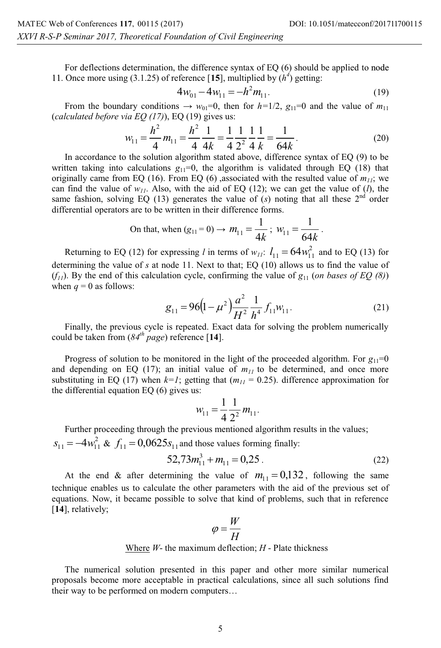For deflections determination, the difference syntax of EQ (6) should be applied to node 11. Once more using (3.1.25) of reference [15], multiplied by  $(h^4)$  getting:

$$
4w_{01} - 4w_{11} = -h^2 m_{11}.
$$
 (19)

From the boundary conditions  $\rightarrow w_{01}=0$ , then for  $h=1/2$ ,  $g_{11}=0$  and the value of  $m_{11}$ (*calculated before via EQ (17)*), EQ (19) gives us:

$$
w_{11} = \frac{h^2}{4} m_{11} = \frac{h^2}{4} \frac{1}{4k} = \frac{1}{4} \frac{1}{2^2} \frac{1}{4} \frac{1}{k} = \frac{1}{64k}.
$$
 (20)

In accordance to the solution algorithm stated above, difference syntax of EQ (9) to be written taking into calculations  $g_{11}=0$ , the algorithm is validated through EQ (18) that originally came from EQ (16). From EQ (6) ,associated with the resulted value of  $m_{11}$ ; we can find the value of  $w_{11}$ . Also, with the aid of EQ (12); we can get the value of (*l*), the same fashion, solving EQ (13) generates the value of  $(s)$  noting that all these  $2<sup>nd</sup>$  order differential operators are to be written in their difference forms.

On that, when 
$$
(g_{11} = 0) \rightarrow m_{11} = \frac{1}{4k}
$$
;  $w_{11} = \frac{1}{64k}$ .

Returning to EQ (12) for expressing *l* in terms of  $w_{11}$ :  $l_{11} = 64w_{11}^2$  and to EQ (13) for determining the value of *s* at node 11. Next to that; EQ (10) allows us to find the value of  $(f_{11})$ . By the end of this calculation cycle, confirming the value of  $g_{11}$  (*on bases of EQ (8)*) when  $q = 0$  as follows:

$$
g_{11} = 96\left(1 - \mu^2\right)\frac{a^2}{H^2}\frac{1}{h^4}f_{11}w_{11}.
$$
 (21)

Finally, the previous cycle is repeated. Exact data for solving the problem numerically could be taken from (*84th page*) reference [**14**].

Progress of solution to be monitored in the light of the proceeded algorithm. For  $g_{11}=0$ and depending on EQ (17); an initial value of  $m_{11}$  to be determined, and once more substituting in EQ (17) when  $k=1$ ; getting that  $(m_{11}=0.25)$ . difference approximation for the differential equation EQ (6) gives us:

$$
w_{11} = \frac{1}{4} \frac{1}{2^2} m_{11}.
$$

Further proceeding through the previous mentioned algorithm results in the values;

 $s_{11} = -4w_{11}^2$  &  $f_{11} = 0.0625s_{11}$  and those values forming finally:

$$
52,73m_{11}^3 + m_{11} = 0,25 \tag{22}
$$

At the end & after determining the value of  $m_{11} = 0.132$ , following the same technique enables us to calculate the other parameters with the aid of the previous set of equations. Now, it became possible to solve that kind of problems, such that in reference [**14**], relatively;

$$
\varphi = \frac{W}{H}
$$

Where *W*- the maximum deflection; *H* - Plate thickness

The numerical solution presented in this paper and other more similar numerical proposals become more acceptable in practical calculations, since all such solutions find their way to be performed on modern computers…